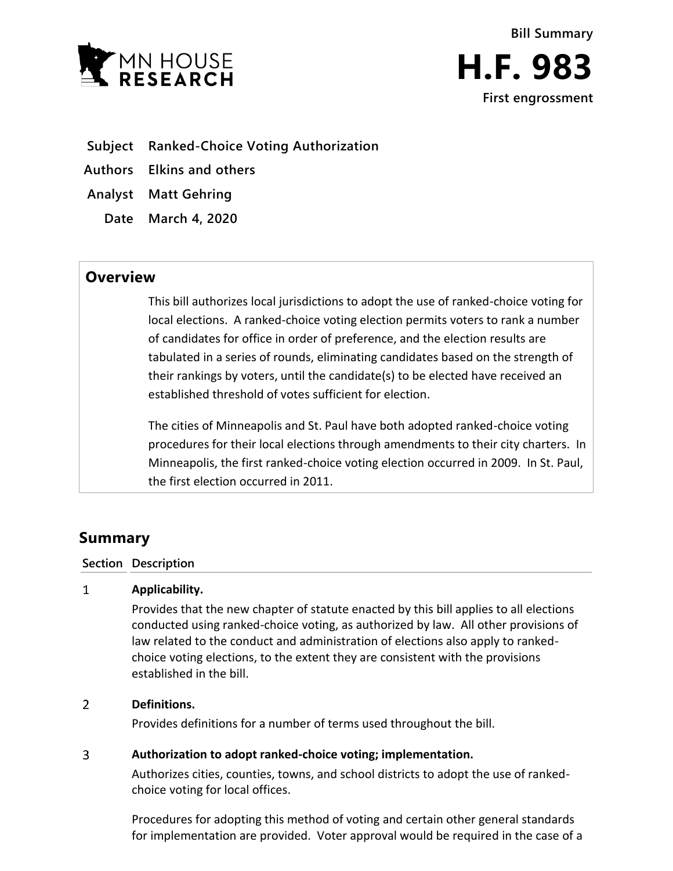

- **Subject Ranked-Choice Voting Authorization**
- **Authors Elkins and others**
- **Analyst Matt Gehring**
	- **Date March 4, 2020**

# **Overview**

This bill authorizes local jurisdictions to adopt the use of ranked-choice voting for local elections. A ranked-choice voting election permits voters to rank a number of candidates for office in order of preference, and the election results are tabulated in a series of rounds, eliminating candidates based on the strength of their rankings by voters, until the candidate(s) to be elected have received an established threshold of votes sufficient for election.

The cities of Minneapolis and St. Paul have both adopted ranked-choice voting procedures for their local elections through amendments to their city charters. In Minneapolis, the first ranked-choice voting election occurred in 2009. In St. Paul, the first election occurred in 2011.

# **Summary**

# **Section Description**

### $\mathbf{1}$ **Applicability.**

Provides that the new chapter of statute enacted by this bill applies to all elections conducted using ranked-choice voting, as authorized by law. All other provisions of law related to the conduct and administration of elections also apply to rankedchoice voting elections, to the extent they are consistent with the provisions established in the bill.

### $\overline{2}$ **Definitions.**

Provides definitions for a number of terms used throughout the bill.

### $\overline{3}$ **Authorization to adopt ranked-choice voting; implementation.**

Authorizes cities, counties, towns, and school districts to adopt the use of rankedchoice voting for local offices.

Procedures for adopting this method of voting and certain other general standards for implementation are provided. Voter approval would be required in the case of a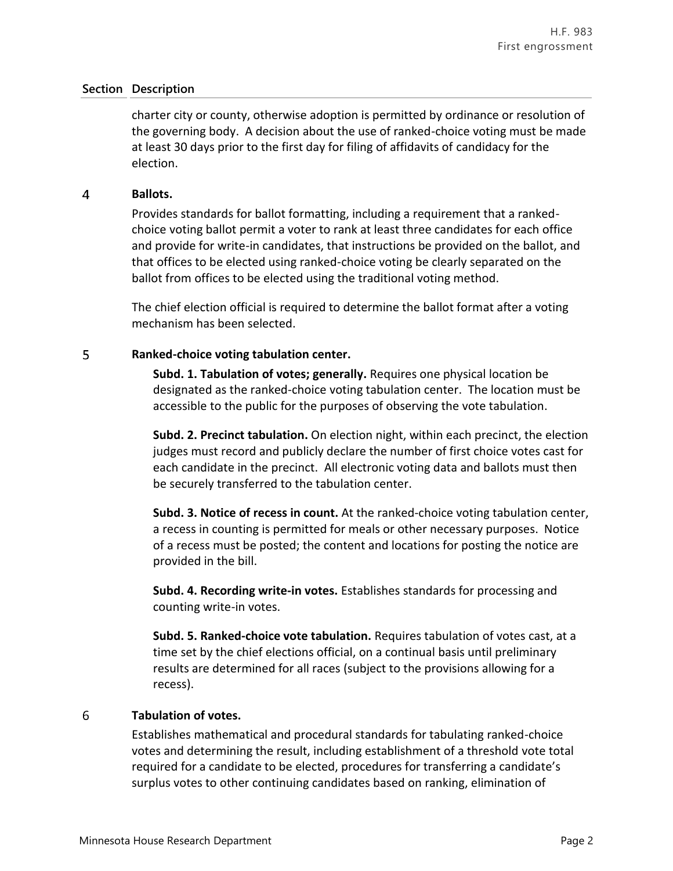## **Section Description**

charter city or county, otherwise adoption is permitted by ordinance or resolution of the governing body. A decision about the use of ranked-choice voting must be made at least 30 days prior to the first day for filing of affidavits of candidacy for the election.

#### $\overline{4}$ **Ballots.**

Provides standards for ballot formatting, including a requirement that a rankedchoice voting ballot permit a voter to rank at least three candidates for each office and provide for write-in candidates, that instructions be provided on the ballot, and that offices to be elected using ranked-choice voting be clearly separated on the ballot from offices to be elected using the traditional voting method.

The chief election official is required to determine the ballot format after a voting mechanism has been selected.

#### 5 **Ranked-choice voting tabulation center.**

**Subd. 1. Tabulation of votes; generally.** Requires one physical location be designated as the ranked-choice voting tabulation center. The location must be accessible to the public for the purposes of observing the vote tabulation.

**Subd. 2. Precinct tabulation.** On election night, within each precinct, the election judges must record and publicly declare the number of first choice votes cast for each candidate in the precinct. All electronic voting data and ballots must then be securely transferred to the tabulation center.

**Subd. 3. Notice of recess in count.** At the ranked-choice voting tabulation center, a recess in counting is permitted for meals or other necessary purposes. Notice of a recess must be posted; the content and locations for posting the notice are provided in the bill.

**Subd. 4. Recording write-in votes.** Establishes standards for processing and counting write-in votes.

**Subd. 5. Ranked-choice vote tabulation.** Requires tabulation of votes cast, at a time set by the chief elections official, on a continual basis until preliminary results are determined for all races (subject to the provisions allowing for a recess).

#### 6 **Tabulation of votes.**

Establishes mathematical and procedural standards for tabulating ranked-choice votes and determining the result, including establishment of a threshold vote total required for a candidate to be elected, procedures for transferring a candidate's surplus votes to other continuing candidates based on ranking, elimination of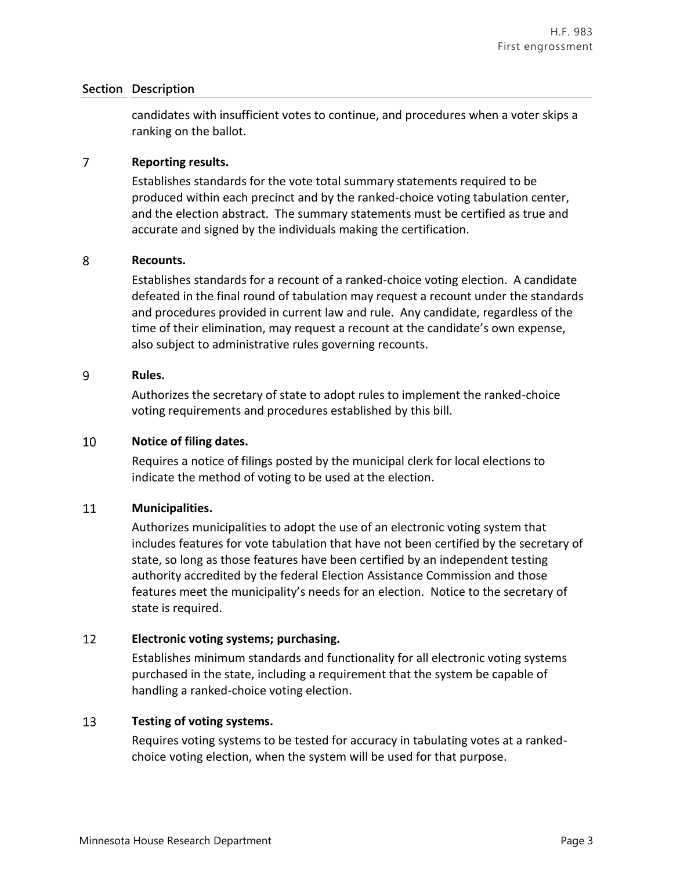# **Section Description**

candidates with insufficient votes to continue, and procedures when a voter skips a ranking on the ballot.

#### $\overline{7}$ **Reporting results.**

Establishes standards for the vote total summary statements required to be produced within each precinct and by the ranked-choice voting tabulation center, and the election abstract. The summary statements must be certified as true and accurate and signed by the individuals making the certification.

### 8 **Recounts.**

Establishes standards for a recount of a ranked-choice voting election. A candidate defeated in the final round of tabulation may request a recount under the standards and procedures provided in current law and rule. Any candidate, regardless of the time of their elimination, may request a recount at the candidate's own expense, also subject to administrative rules governing recounts.

#### 9 **Rules.**

Authorizes the secretary of state to adopt rules to implement the ranked-choice voting requirements and procedures established by this bill.

#### 10 **Notice of filing dates.**

Requires a notice of filings posted by the municipal clerk for local elections to indicate the method of voting to be used at the election.

#### 11 **Municipalities.**

Authorizes municipalities to adopt the use of an electronic voting system that includes features for vote tabulation that have not been certified by the secretary of state, so long as those features have been certified by an independent testing authority accredited by the federal Election Assistance Commission and those features meet the municipality's needs for an election. Notice to the secretary of state is required.

#### 12 **Electronic voting systems; purchasing.**

Establishes minimum standards and functionality for all electronic voting systems purchased in the state, including a requirement that the system be capable of handling a ranked-choice voting election.

#### 13 **Testing of voting systems.**

Requires voting systems to be tested for accuracy in tabulating votes at a rankedchoice voting election, when the system will be used for that purpose.